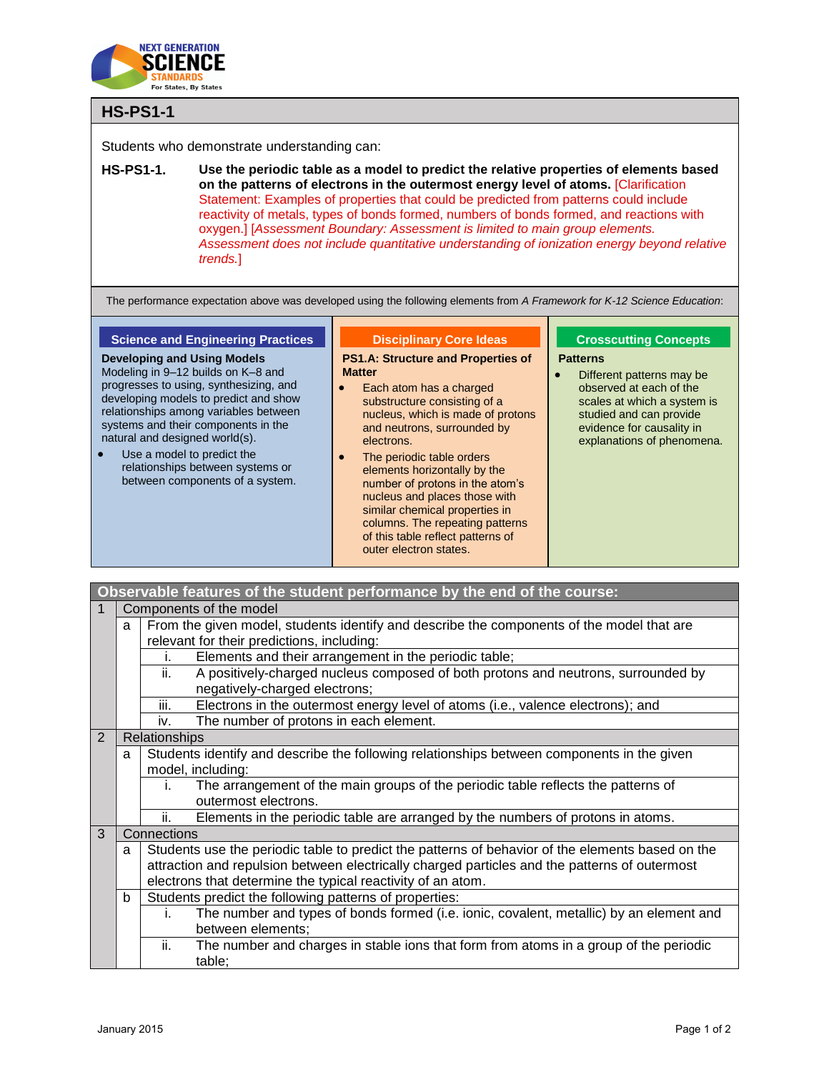

## **HS-PS1-1**

Students who demonstrate understanding can:

**HS-PS1-1. Use the periodic table as a model to predict the relative properties of elements based on the patterns of electrons in the outermost energy level of atoms.** [Clarification Statement: Examples of properties that could be predicted from patterns could include reactivity of metals, types of bonds formed, numbers of bonds formed, and reactions with oxygen.] [*Assessment Boundary: Assessment is limited to main group elements. Assessment does not include quantitative understanding of ionization energy beyond relative trends.*]

The performance expectation above was developed using the following elements from *A Framework for K-12 Science Education*:

## **Science and Engineering Practices**

**Developing and Using Models** Modeling in 9–12 builds on K–8 and progresses to using, synthesizing, and developing models to predict and show relationships among variables between systems and their components in the natural and designed world(s).

 Use a model to predict the relationships between systems or between components of a system.

## **Disciplinary Core Ideas**

**PS1.A: Structure and Properties of Matter**

- Each atom has a charged substructure consisting of a nucleus, which is made of protons and neutrons, surrounded by electrons.
- The periodic table orders elements horizontally by the number of protons in the atom's nucleus and places those with similar chemical properties in columns. The repeating patterns of this table reflect patterns of outer electron states.

## **Crosscutting Concepts Patterns**

• Different patterns may be observed at each of the scales at which a system is studied and can provide evidence for causality in explanations of phenomena.

|   |                                                                                               | Observable features of the student performance by the end of the course:                         |  |  |  |
|---|-----------------------------------------------------------------------------------------------|--------------------------------------------------------------------------------------------------|--|--|--|
|   |                                                                                               | Components of the model                                                                          |  |  |  |
|   | a                                                                                             | From the given model, students identify and describe the components of the model that are        |  |  |  |
|   |                                                                                               | relevant for their predictions, including:                                                       |  |  |  |
|   |                                                                                               | Elements and their arrangement in the periodic table;<br>i.                                      |  |  |  |
|   |                                                                                               | A positively-charged nucleus composed of both protons and neutrons, surrounded by<br>ii.         |  |  |  |
|   |                                                                                               | negatively-charged electrons;                                                                    |  |  |  |
|   |                                                                                               | Electrons in the outermost energy level of atoms (i.e., valence electrons); and<br>iii.          |  |  |  |
|   |                                                                                               | iv.<br>The number of protons in each element.                                                    |  |  |  |
| 2 | Relationships                                                                                 |                                                                                                  |  |  |  |
|   | a                                                                                             | Students identify and describe the following relationships between components in the given       |  |  |  |
|   | model, including:                                                                             |                                                                                                  |  |  |  |
|   |                                                                                               | The arrangement of the main groups of the periodic table reflects the patterns of<br>i.          |  |  |  |
|   |                                                                                               | outermost electrons.                                                                             |  |  |  |
|   |                                                                                               | Elements in the periodic table are arranged by the numbers of protons in atoms.<br>ii.           |  |  |  |
| 3 |                                                                                               | Connections                                                                                      |  |  |  |
| a |                                                                                               | Students use the periodic table to predict the patterns of behavior of the elements based on the |  |  |  |
|   | attraction and repulsion between electrically charged particles and the patterns of outermost |                                                                                                  |  |  |  |
|   |                                                                                               | electrons that determine the typical reactivity of an atom.                                      |  |  |  |
|   | b                                                                                             | Students predict the following patterns of properties:                                           |  |  |  |
|   |                                                                                               | The number and types of bonds formed (i.e. ionic, covalent, metallic) by an element and<br>i.    |  |  |  |
|   |                                                                                               | between elements;                                                                                |  |  |  |
|   |                                                                                               | The number and charges in stable ions that form from atoms in a group of the periodic<br>ii.     |  |  |  |
|   |                                                                                               | table;                                                                                           |  |  |  |